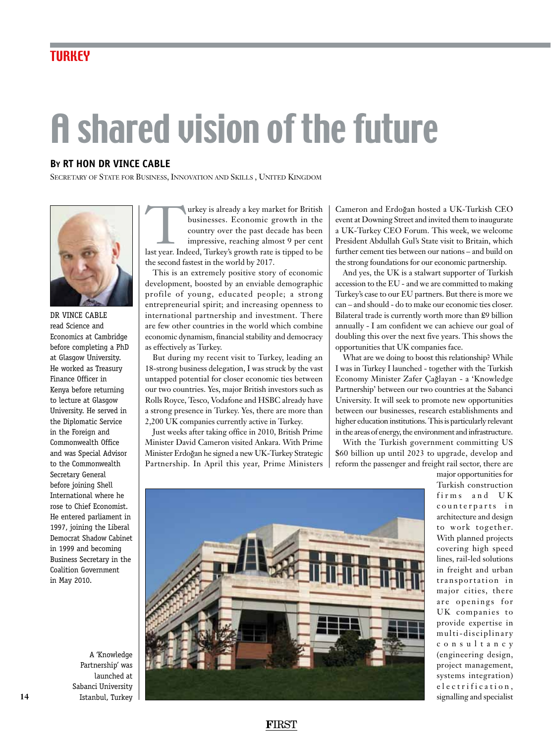## A shared vision of the future

## **By RT HON Dr Vince Cable**

SECRETARY OF STATE FOR BUSINESS, INNOVATION AND SKILLS, UNITED KINGDOM



DR VINCE CABLE read Science and Economics at Cambridge before completing a PhD at Glasgow University. He worked as Treasury Finance Officer in Kenya before returning to lecture at Glasgow University. He served in the Diplomatic Service in the Foreign and Commonwealth Office and was Special Advisor to the Commonwealth Secretary General before joining Shell International where he rose to Chief Economist. He entered parliament in 1997, joining the Liberal Democrat Shadow Cabinet in 1999 and becoming Business Secretary in the Coalition Government in May 2010.

A 'Knowledge Partnership' was launched at Sabanci University Istanbul, Turkey

Turkey is already a key market for British<br>businesses. Economic growth in the<br>country over the past decade has been<br>impressive, reaching almost 9 per cent<br>last year. Indeed, Turkey's growth rate is tipped to be businesses. Economic growth in the country over the past decade has been impressive, reaching almost 9 per cent the second fastest in the world by 2017.

This is an extremely positive story of economic development, boosted by an enviable demographic profile of young, educated people; a strong entrepreneurial spirit; and increasing openness to international partnership and investment. There are few other countries in the world which combine economic dynamism, financial stability and democracy as effectively as Turkey.

But during my recent visit to Turkey, leading an 18-strong business delegation, I was struck by the vast untapped potential for closer economic ties between our two countries. Yes, major British investors such as Rolls Royce, Tesco, Vodafone and HSBC already have a strong presence in Turkey. Yes, there are more than 2,200 UK companies currently active in Turkey.

Just weeks after taking office in 2010, British Prime Minister David Cameron visited Ankara. With Prime Minister Erdogan he signed a new UK-Turkey Strategic Partnership. In April this year, Prime Ministers

Cameron and Erdogan hosted a UK-Turkish CEO event at Downing Street and invited them to inaugurate a UK-Turkey CEO Forum. This week, we welcome President Abdullah Gul's State visit to Britain, which further cement ties between our nations – and build on the strong foundations for our economic partnership.

And yes, the UK is a stalwart supporter of Turkish accession to the EU - and we are committed to making Turkey's case to our EU partners. But there is more we can – and should - do to make our economic ties closer. Bilateral trade is currently worth more than £9 billion annually - I am confident we can achieve our goal of doubling this over the next five years. This shows the opportunities that UK companies face.

What are we doing to boost this relationship? While I was in Turkey I launched - together with the Turkish Economy Minister Zafer Çaglayan - a 'Knowledge Partnership' between our two countries at the Sabanci University. It will seek to promote new opportunities between our businesses, research establishments and higher education institutions. This is particularly relevant in the areas of energy, the environment and infrastructure.

With the Turkish government committing US \$60 billion up until 2023 to upgrade, develop and reform the passenger and freight rail sector, there are



major opportunities for Turkish construction firms and UK counterparts in architecture and design to work together. With planned projects covering high speed lines, rail-led solutions in freight and urban transportation in major cities, there are openings for UK companies to provide expertise in multi-disciplinary c o n s u l t a n c y (engineering design, project management, systems integration) e l e c trification, signalling and specialist

## **F**IRST